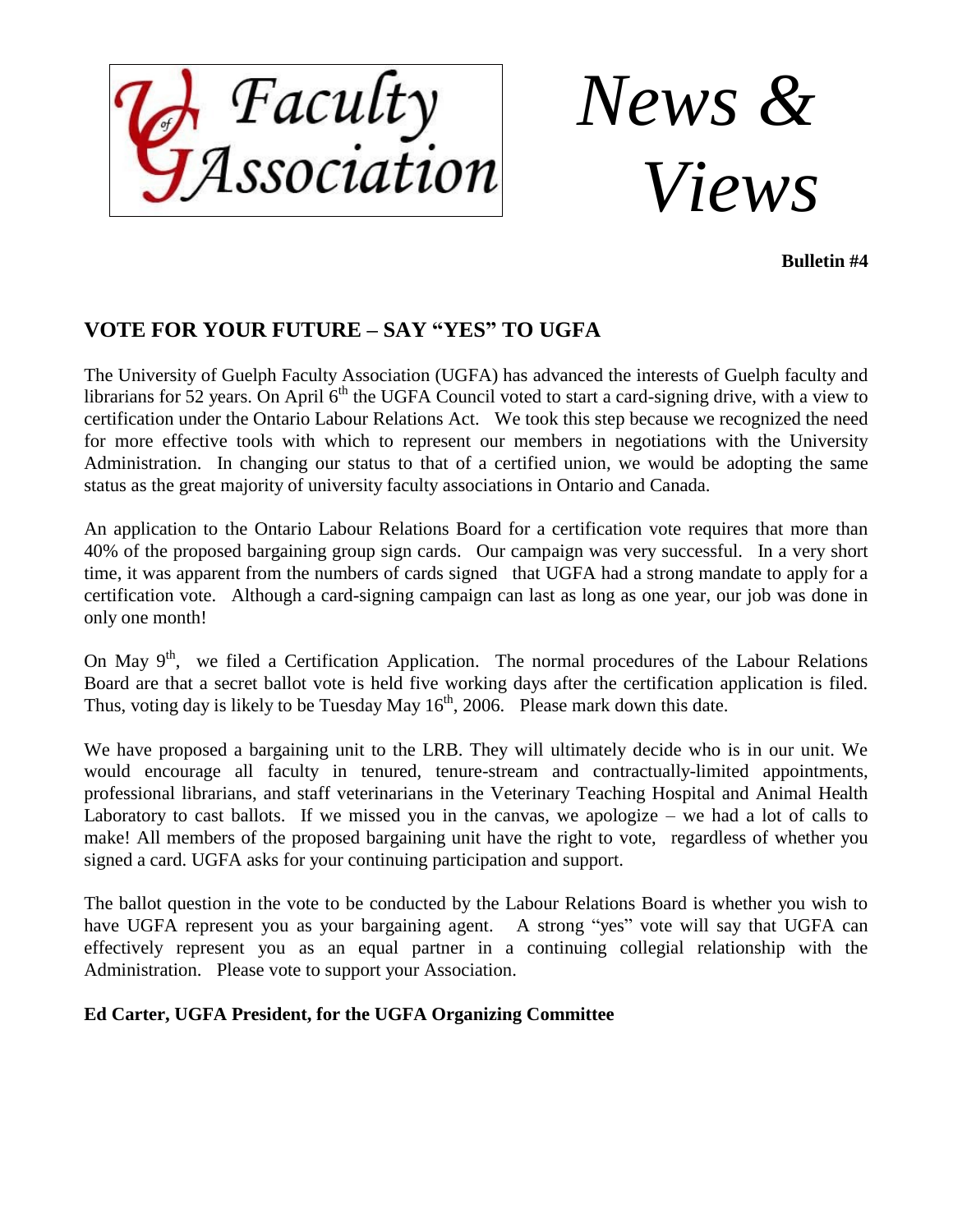

*News & Views*

**Bulletin #4**

## **VOTE FOR YOUR FUTURE – SAY "YES" TO UGFA**

The University of Guelph Faculty Association (UGFA) has advanced the interests of Guelph faculty and librarians for 52 years. On April 6<sup>th</sup> the UGFA Council voted to start a card-signing drive, with a view to certification under the Ontario Labour Relations Act. We took this step because we recognized the need for more effective tools with which to represent our members in negotiations with the University Administration. In changing our status to that of a certified union, we would be adopting the same status as the great majority of university faculty associations in Ontario and Canada.

An application to the Ontario Labour Relations Board for a certification vote requires that more than 40% of the proposed bargaining group sign cards. Our campaign was very successful. In a very short time, it was apparent from the numbers of cards signed that UGFA had a strong mandate to apply for a certification vote. Although a card-signing campaign can last as long as one year, our job was done in only one month!

On May  $9<sup>th</sup>$ , we filed a Certification Application. The normal procedures of the Labour Relations Board are that a secret ballot vote is held five working days after the certification application is filed. Thus, voting day is likely to be Tuesday May  $16<sup>th</sup>$ , 2006. Please mark down this date.

We have proposed a bargaining unit to the LRB. They will ultimately decide who is in our unit. We would encourage all faculty in tenured, tenure-stream and contractually-limited appointments, professional librarians, and staff veterinarians in the Veterinary Teaching Hospital and Animal Health Laboratory to cast ballots. If we missed you in the canvas, we apologize  $-$  we had a lot of calls to make! All members of the proposed bargaining unit have the right to vote, regardless of whether you signed a card. UGFA asks for your continuing participation and support.

The ballot question in the vote to be conducted by the Labour Relations Board is whether you wish to have UGFA represent you as your bargaining agent. A strong "yes" vote will say that UGFA can effectively represent you as an equal partner in a continuing collegial relationship with the Administration. Please vote to support your Association.

#### **Ed Carter, UGFA President, for the UGFA Organizing Committee**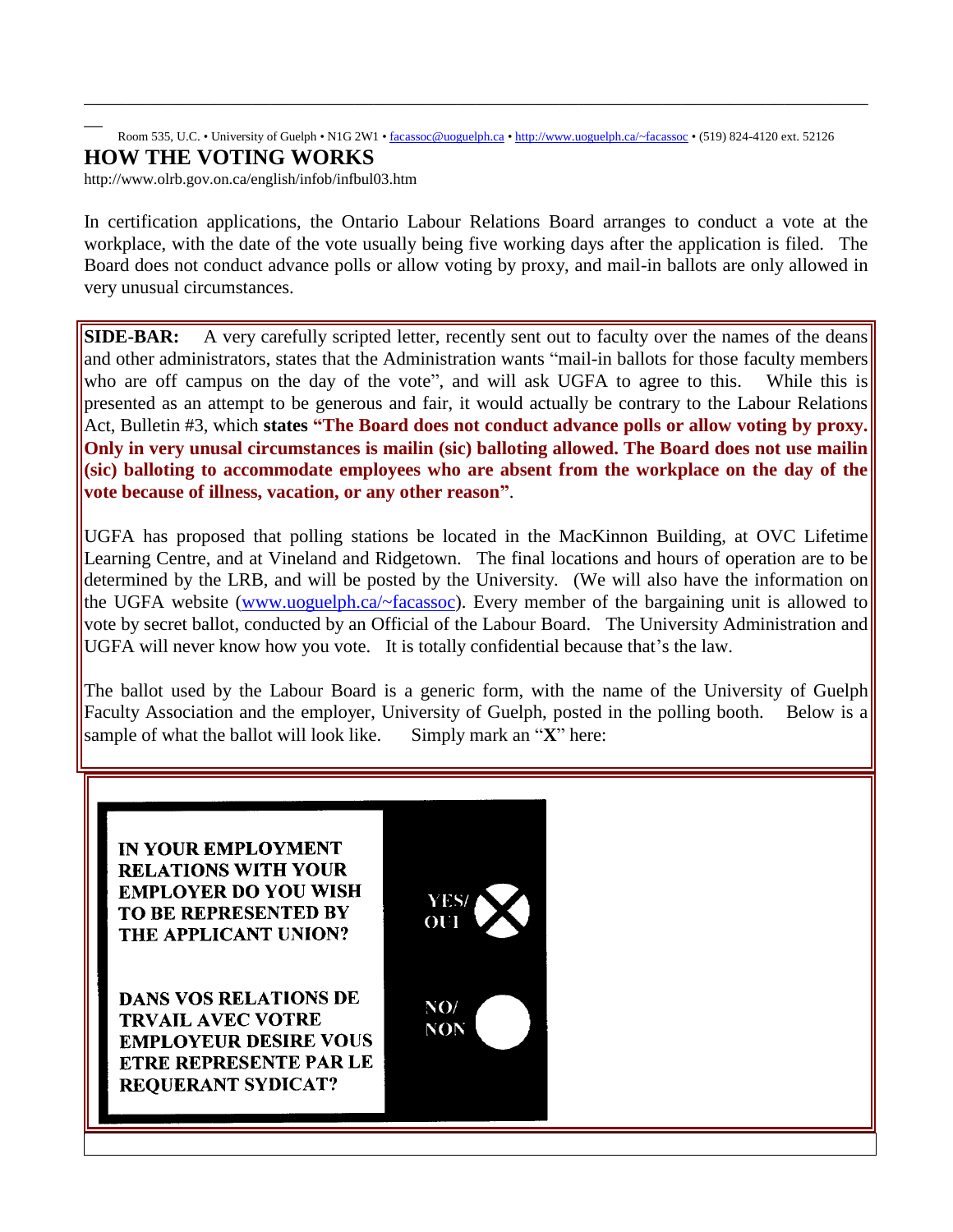#### Room 535, U.C. • University of Guelph • N1G 2W1 • [facassoc@uoguelph.ca](mailto:facassoc@uoguelph.ca) • <http://www.uoguelph.ca/~facassoc> • (519) 824-4120 ext. 52126 **HOW THE VOTING WORKS**

\_\_\_\_\_\_\_\_\_\_\_\_\_\_\_\_\_\_\_\_\_\_\_\_\_\_\_\_\_\_\_\_\_\_\_\_\_\_\_\_\_\_\_\_\_\_\_\_\_\_\_\_\_\_\_\_\_\_\_\_\_\_\_\_\_\_\_\_\_\_\_\_\_\_\_\_\_\_\_\_\_\_\_\_

<http://www.olrb.gov.on.ca/english/infob/infbul03.htm>

 $\overline{\phantom{a}}$ 

In certification applications, the Ontario Labour Relations Board arranges to conduct a vote at the workplace, with the date of the vote usually being five working days after the application is filed. The Board does not conduct advance polls or allow voting by proxy, and mail-in ballots are only allowed in very unusual circumstances.

**SIDE-BAR:** A very carefully scripted letter, recently sent out to faculty over the names of the deans and other administrators, states that the Administration wants "mail-in ballots for those faculty members who are off campus on the day of the vote", and will ask UGFA to agree to this. While this is presented as an attempt to be generous and fair, it would actually be contrary to the Labour Relations Act, Bulletin #3, which **states "The Board does not conduct advance polls or allow voting by proxy. Only in very unusal circumstances is mailin (sic) balloting allowed. The Board does not use mailin (sic) balloting to accommodate employees who are absent from the workplace on the day of the vote because of illness, vacation, or any other reason"**.

UGFA has proposed that polling stations be located in the MacKinnon Building, at OVC Lifetime Learning Centre, and at Vineland and Ridgetown. The final locations and hours of operation are to be determined by the LRB, and will be posted by the University. (We will also have the information on the UGFA website [\(www.uoguelph.ca/~facassoc\)](http://www.uoguelph.ca/~facassoc)). Every member of the bargaining unit is allowed to vote by secret ballot, conducted by an Official of the Labour Board. The University Administration and UGFA will never know how you vote. It is totally confidential because that's the law.

The ballot used by the Labour Board is a generic form, with the name of the University of Guelph Faculty Association and the employer, University of Guelph, posted in the polling booth. Below is a sample of what the ballot will look like. Simply mark an "**X**" here:

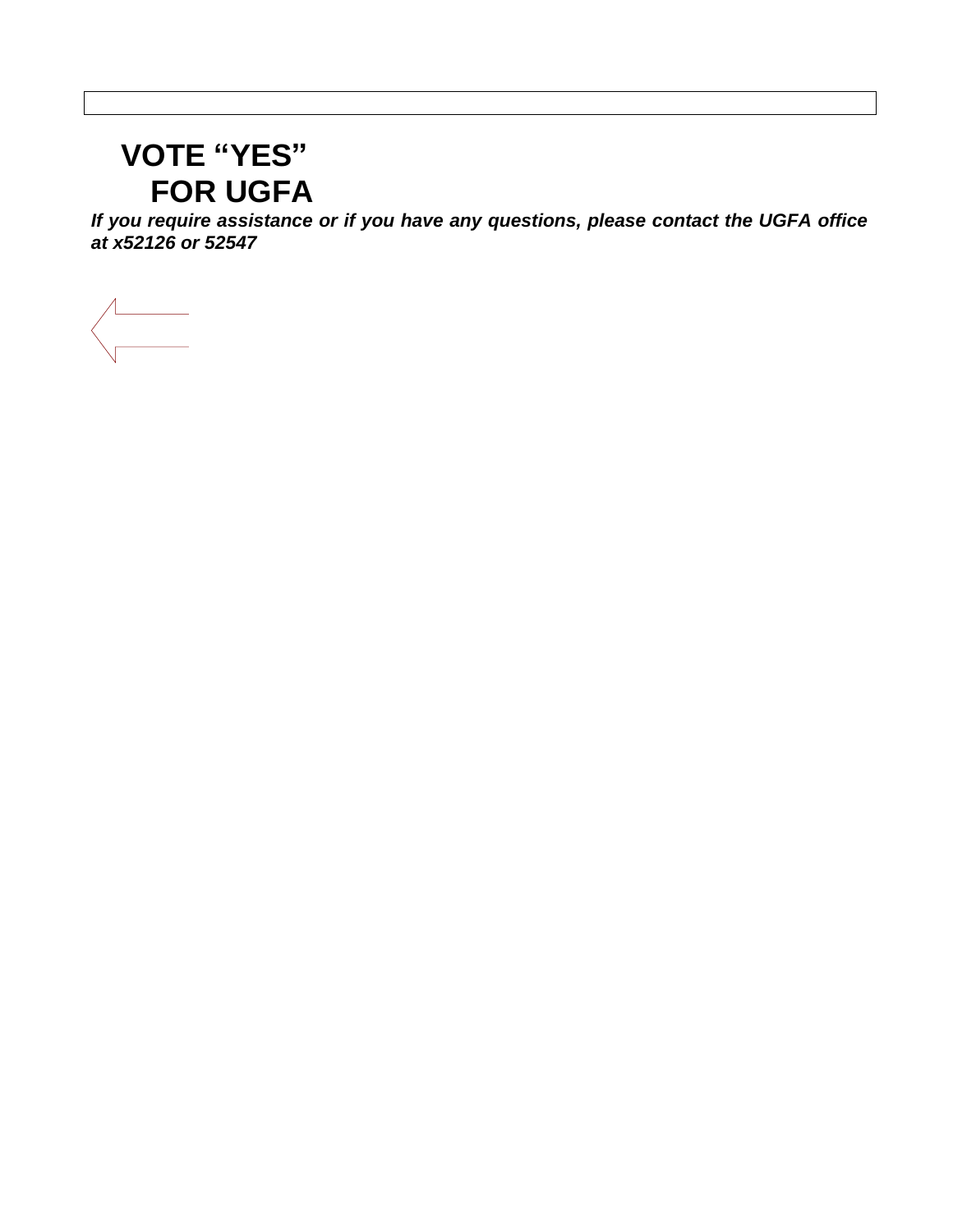# **VOTE "YES" FOR UGFA**

*If you require assistance or if you have any questions, please contact the UGFA office at x52126 or 52547*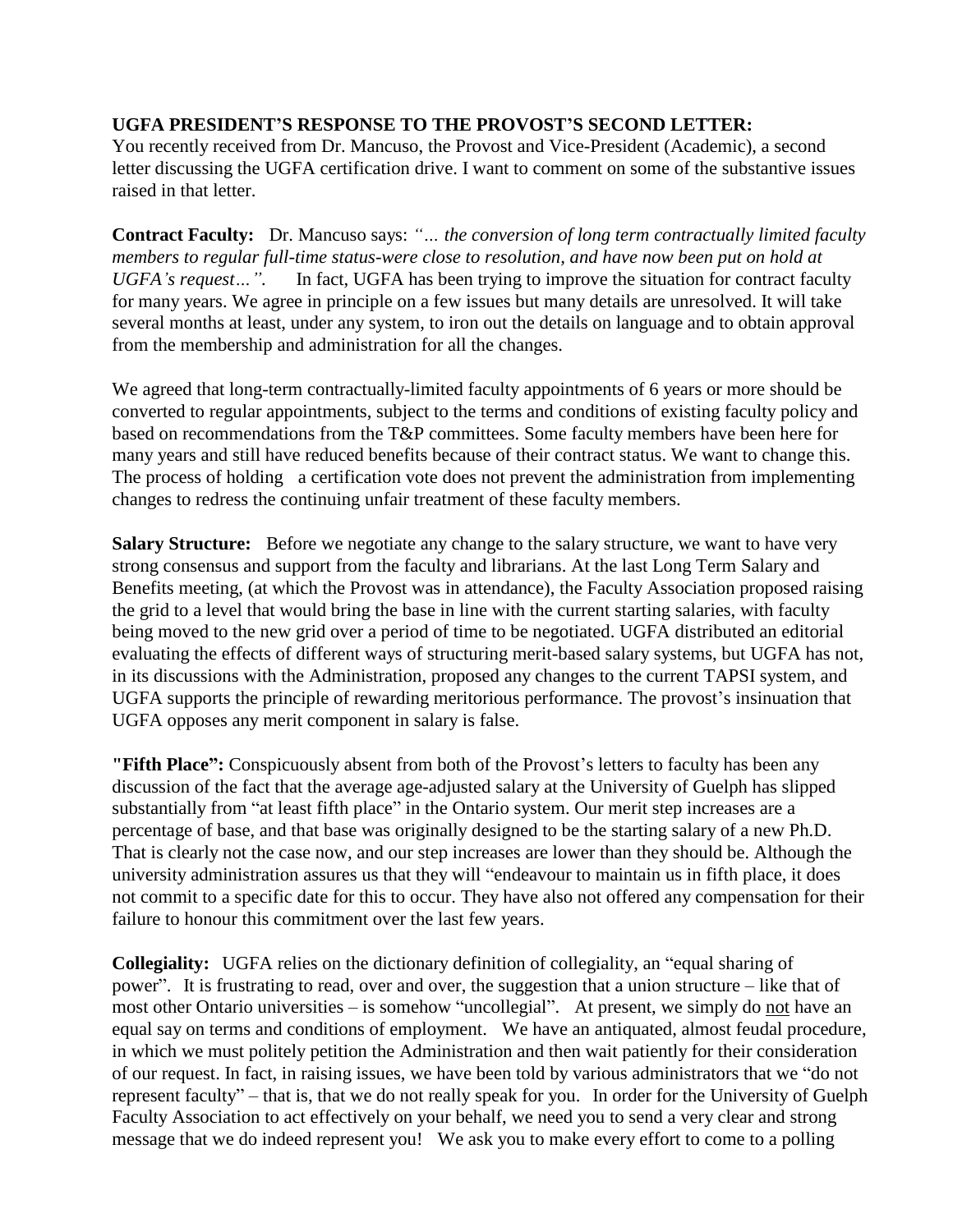### **UGFA PRESIDENT'S RESPONSE TO THE PROVOST'S SECOND LETTER:**

You recently received from Dr. Mancuso, the Provost and Vice-President (Academic), a second letter discussing the UGFA certification drive. I want to comment on some of the substantive issues raised in that letter.

**Contract Faculty:** Dr. Mancuso says: *"… the conversion of long term contractually limited faculty members to regular full-time status-were close to resolution, and have now been put on hold at UGFA's request…".* In fact, UGFA has been trying to improve the situation for contract faculty for many years. We agree in principle on a few issues but many details are unresolved. It will take several months at least, under any system, to iron out the details on language and to obtain approval from the membership and administration for all the changes.

We agreed that long-term contractually-limited faculty appointments of 6 years or more should be converted to regular appointments, subject to the terms and conditions of existing faculty policy and based on recommendations from the T&P committees. Some faculty members have been here for many years and still have reduced benefits because of their contract status. We want to change this. The process of holding a certification vote does not prevent the administration from implementing changes to redress the continuing unfair treatment of these faculty members.

**Salary Structure:** Before we negotiate any change to the salary structure, we want to have very strong consensus and support from the faculty and librarians. At the last Long Term Salary and Benefits meeting, (at which the Provost was in attendance), the Faculty Association proposed raising the grid to a level that would bring the base in line with the current starting salaries, with faculty being moved to the new grid over a period of time to be negotiated. UGFA distributed an editorial evaluating the effects of different ways of structuring merit-based salary systems, but UGFA has not, in its discussions with the Administration, proposed any changes to the current TAPSI system, and UGFA supports the principle of rewarding meritorious performance. The provost's insinuation that UGFA opposes any merit component in salary is false.

**"Fifth Place":** Conspicuously absent from both of the Provost's letters to faculty has been any discussion of the fact that the average age-adjusted salary at the University of Guelph has slipped substantially from "at least fifth place" in the Ontario system. Our merit step increases are a percentage of base, and that base was originally designed to be the starting salary of a new Ph.D. That is clearly not the case now, and our step increases are lower than they should be. Although the university administration assures us that they will "endeavour to maintain us in fifth place, it does not commit to a specific date for this to occur. They have also not offered any compensation for their failure to honour this commitment over the last few years.

**Collegiality:** UGFA relies on the dictionary definition of collegiality, an "equal sharing of power". It is frustrating to read, over and over, the suggestion that a union structure – like that of most other Ontario universities – is somehow "uncollegial". At present, we simply do not have an equal say on terms and conditions of employment. We have an antiquated, almost feudal procedure, in which we must politely petition the Administration and then wait patiently for their consideration of our request. In fact, in raising issues, we have been told by various administrators that we "do not represent faculty" – that is, that we do not really speak for you. In order for the University of Guelph Faculty Association to act effectively on your behalf, we need you to send a very clear and strong message that we do indeed represent you! We ask you to make every effort to come to a polling